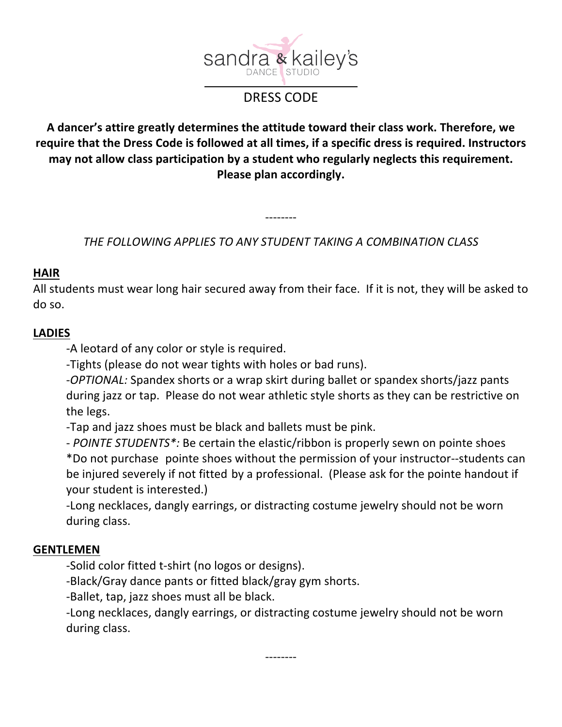

# DRESS CODE

# A dancer's attire greatly determines the attitude toward their class work. Therefore, we require that the Dress Code is followed at all times, if a specific dress is required. Instructors may not allow class participation by a student who regularly neglects this requirement. **Please plan accordingly.**

*THE FOLLOWING APPLIES TO ANY STUDENT TAKING A COMBINATION CLASS*

--------

#### **HAIR**

All students must wear long hair secured away from their face. If it is not, they will be asked to do so. 

#### **LADIES**

-A leotard of any color or style is required.

-Tights (please do not wear tights with holes or bad runs).

-*OPTIONAL:* Spandex shorts or a wrap skirt during ballet or spandex shorts/jazz pants during jazz or tap. Please do not wear athletic style shorts as they can be restrictive on the legs.

-Tap and jazz shoes must be black and ballets must be pink.

- POINTE STUDENTS<sup>\*</sup>: Be certain the elastic/ribbon is properly sewn on pointe shoes \*Do not purchase pointe shoes without the permission of your instructor--students can be injured severely if not fitted by a professional. (Please ask for the pointe handout if your student is interested.)

-Long necklaces, dangly earrings, or distracting costume jewelry should not be worn during class.

## **GENTLEMEN**

-Solid color fitted t-shirt (no logos or designs).

-Black/Gray dance pants or fitted black/gray gym shorts.

-Ballet, tap, jazz shoes must all be black.

-Long necklaces, dangly earrings, or distracting costume jewelry should not be worn during class.

--------